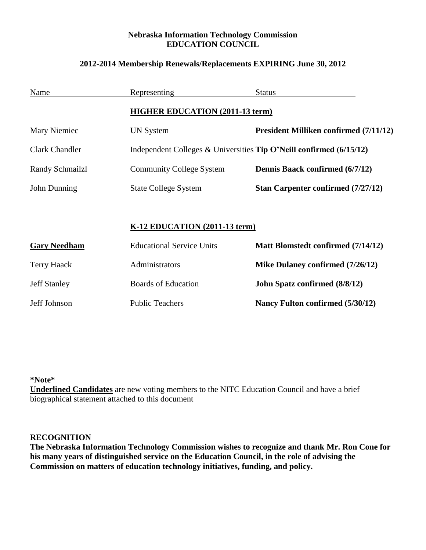## **Nebraska Information Technology Commission EDUCATION COUNCIL**

## **2012-2014 Membership Renewals/Replacements EXPIRING June 30, 2012**

| Name                  | Representing                                                          | <b>Status</b>                                 |
|-----------------------|-----------------------------------------------------------------------|-----------------------------------------------|
|                       | <b>HIGHER EDUCATION (2011-13 term)</b>                                |                                               |
| Mary Niemiec          | UN System                                                             | <b>President Milliken confirmed (7/11/12)</b> |
| <b>Clark Chandler</b> | Independent Colleges & Universities Tip O'Neill confirmed $(6/15/12)$ |                                               |
| Randy Schmailzl       | <b>Community College System</b>                                       | Dennis Baack confirmed (6/7/12)               |
| John Dunning          | <b>State College System</b>                                           | Stan Carpenter confirmed (7/27/12)            |
|                       |                                                                       |                                               |
|                       | K-12 EDUCATION (2011-13 term)                                         |                                               |
| <b>Gary Needham</b>   | <b>Educational Service Units</b>                                      | Matt Blomstedt confirmed (7/14/12)            |
| <b>Terry Haack</b>    | Administrators                                                        | Mike Dulaney confirmed (7/26/12)              |
| <b>Jeff Stanley</b>   | <b>Boards of Education</b>                                            | <b>John Spatz confirmed (8/8/12)</b>          |
| Jeff Johnson          | <b>Public Teachers</b>                                                | Nancy Fulton confirmed (5/30/12)              |

**\*Note\***

**Underlined Candidates** are new voting members to the NITC Education Council and have a brief biographical statement attached to this document

## **RECOGNITION**

**The Nebraska Information Technology Commission wishes to recognize and thank Mr. Ron Cone for his many years of distinguished service on the Education Council, in the role of advising the Commission on matters of education technology initiatives, funding, and policy.**